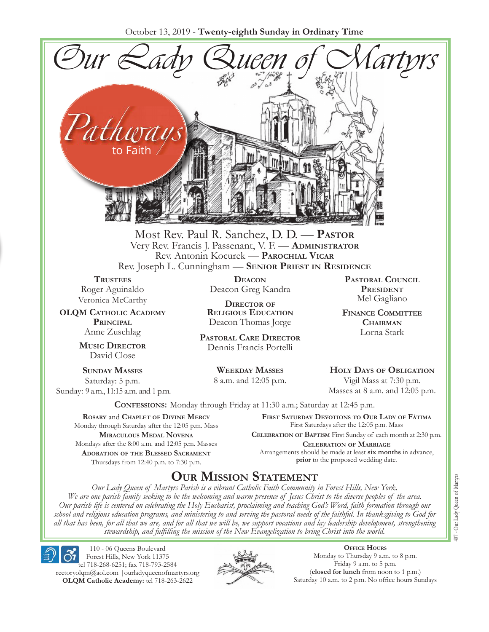October 13, 2019 - **Twenty-eighth Sunday in Ordinary Time**



Most Rev. Paul R. Sanchez, D. D. — **Pastor** Very Rev. Francis J. Passenant, V. F. — **Administrator** Rev. Antonin Kocurek — **Parochial Vicar** Rev. Joseph L. Cunningham — **Senior Priest in Residence**

**TRUSTEES** Roger Aguinaldo Veronica McCarthy

**OLQM Catholic Academy Principal** Anne Zuschlag

> **Music Director** David Close

**Sunday Masses** Saturday: 5 p.m. Sunday: 9 a.m., 11:15 a.m. and 1 p.m.

**Deacon** Deacon Greg Kandra

**Director of Religious Education** Deacon Thomas Jorge

**Pastoral Care Director** Dennis Francis Portelli

> **Weekday Masses** 8 a.m. and 12:05 p.m.

**Pastoral Council President** Mel Gagliano

**Finance Committee Chairman** Lorna Stark

**Holy Days of Obligation** Vigil Mass at 7:30 p.m.

Masses at 8 a.m. and 12:05 p.m.

**Confessions:** Monday through Friday at 11:30 a.m.; Saturday at 12:45 p.m.

**Rosary** and **Chaplet of Divine Mercy** Monday through Saturday after the 12:05 p.m. Mass **Miraculous Medal Novena** Mondays after the 8:00 a.m. and 12:05 p.m. Masses **Adoration of the Blessed Sacrament** Thursdays from 12:40 p.m. to 7:30 p.m.

**First Saturday Devotions to Our Lady of Fátima** First Saturdays after the 12:05 p.m. Mass

**Celebration of Baptism** First Sunday of each month at 2:30 p.m. **Celebration of Marriage** Arrangements should be made at least **six months** in advance, **prior** to the proposed wedding date.

# **Our Mission Statement**

*Our Lady Queen of Martyrs Parish is a vibrant Catholic Faith Community in Forest Hills, New York. We are one parish family seeking to be the welcoming and warm presence of Jesus Christ to the diverse peoples of the area. Our parish life is centered on celebrating the Holy Eucharist, proclaiming and teaching God's Word, faith formation through our school and religious education programs, and ministering to and serving the pastoral needs of the faithful. In thanksgiving to God for all that has been, for all that we are, and for all that we will be, we support vocations and lay leadership development, strengthening stewardship, and fulfilling the mission of the New Evangelization to bring Christ into the world.*

110 - 06 Queens Boulevard Forest Hills, New York 11375 tel 718-268-6251; fax 718-793-2584 rectoryolqm@aol.com **|**ourladyqueenofmartyrs.org **OLQM Catholic Academy:** tel 718-263-2622



**Office Hours** Monday to Thursday 9 a.m. to 8 p.m. Friday 9 a.m. to 5 p.m. (**closed for lunch** from noon to 1 p.m.) Saturday 10 a.m. to 2 p.m. No office hours Sundays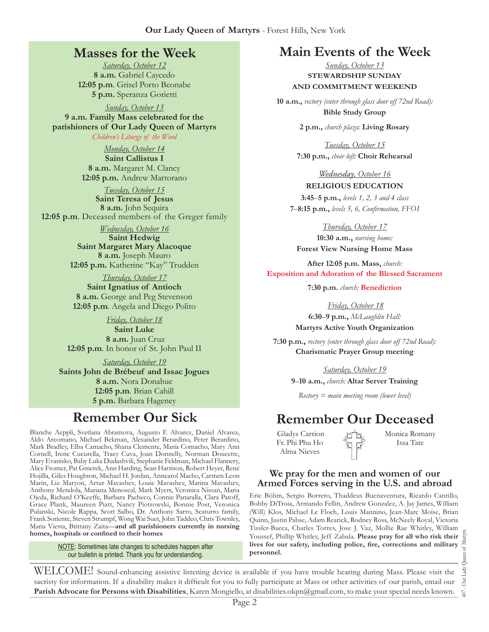### **Masses for the Week**

*Saturday, October 12* **8 a.m.** Gabriel Caycedo **12:05 p.m***.* Grisel Porto Beonabe **5 p.m.** Speranza Gorietti

*Sunday, October 13* **9 a.m. Family Mass celebrated for the parishioners of Our Lady Queen of Martyrs**

*Children's Liturgy of the Word* 

*Monday, October 14* **Saint Callistus I 8 a.m.** Margaret M. Clancy **12:05 p.m.** Andrew Martorano

*Tuesday, October 15* **Saint Teresa of Jesus 8 a.m.** John Sequira **12:05 p.m***.* Deceased members of the Greger family

*Wednesday, October 16*

**Saint Hedwig Saint Margaret Mary Alacoque 8 a.m.** Joseph Mauro **12:05 p.m.** Katherine "Kay" Trudden

*Thursday, October 17* **Saint Ignatius of Antioch 8 a.m.** George and Peg Stevenson **12:05 p.m***.* Angela and Diego Polito

*Friday, October 18* **Saint Luke 8 a.m.** Juan Cruz **12:05 p.m***.* In honor of St. John Paul II

*Saturday, October 19* **Saints John de Brébeuf and Issac Jogues 8 a.m.** Nora Donahue **12:05 p.m***.* Brian Cahill **5 p.m.** Barbara Hageney

Blanche Aeppli, Svetlana Abramova, Augusto F. Alvarez, Daniel Alvarez, Aldo Arcomano, Michael Bekman, Alexander Berardino, Peter Berardino, Mark Bradley, Elba Camacho, Shana Clemente, Maria Comacho, Mary Ann Cornell, Irene Cucurella, Tracy Cuva, Joan Donnelly, Norman Doucette, Mary Evanisko, Baby Luka Dudashvili, Stephanie Feldman, Michael Flannery, Alice Fromer, Pat Gmerek, Ann Harding, Sean Harrison, Robert Heyer, René Hojilla, Giles Houghton, Michael H. Jordan, Anncarol Macho, Carmen Leon Marin, Liz Maryon, Artur Mavashev, Louie Mavashev, Marina Mavashev, Anthony Mendola, Mariana Menoscal, Mark Myers, Veronica Nissan, Maria Ojeda, Richard O'Keeffe, Barbara Pacheco, Connie Panaralla, Clara Patoff, Grace Plank, Maureen Piatt, Nancy Piotrowski, Bonnie Post, Veronica Pulanski, Nicole Rappa, Scott Salbo, Dr. Anthony Sarro, Scaturro family, Frank Soriente, Steven Strumpf, Wong Wai Suet, John Taddeo, Chris Townley, Maria Viesta, Brittany Zaita—**and all parishioners currently in nursing homes, hospitals or confined to their homes**

> **NOTE:** Sometimes late changes to schedules happen after our bulletin is printed. Thank you for understanding.

# **Main Events of the Week**

*Sunday, October 13* **STEWARDSHIP SUNDAY AND COMMITMENT WEEKEND**

**10 a.m.,** *rectory (enter through glass door off 72nd Road):* **Bible Study Group**

**2 p.m.,** *church plaza:* **Living Rosary**

*Tuesday, October 15* **7:30 p.m.,** *choir loft:* **Choir Rehearsal**

*Wednesday, October 16* **RELIGIOUS EDUCATION** 

**3:45**–**5 p.m.,** *levels 1, 2, 3 and 4 class* **7**–**8:15 p.m.,** *levels 5, 6, Confirmation, FFO  I*

*Thursday, October 17* **10:30 a.m.,** *nursing home:*  **Forest View Nursing Home Mass**

**After 12:05 p.m. Mass,** *church:*  **Exposition and Adoration of the Blessed Sacrament**

**7:30 p.m.** *church:* **Benediction**

*Friday, October 18* **6:30**–**9 p.m.,** *McLaughlin Hall:* **Martyrs Active Youth Organization**

**7:30 p.m.,** *rectory (enter through glass door off 72nd Road):* **Charismatic Prayer Group meeting**

*Saturday, October 19*

**9**–**10 a.m.,** *church:* **Altar Server Training**

*Rectory = main meeting room (lower level)*

# **Remember Our Sick Remember Our Deceased**

Gladys Carrion Fr. Phi Phu Ho Alma Nieves

Monica Romany Issa Tate

### **We pray for the men and women of our Armed Forces serving in the U.S. and abroad**

Eric Böhm, Sergio Borrero, Thaddeus Buenaventura, Ricardo Cantillo, Bobby DiTroia, Armando Fellin, Andrew Gonzalez, A. Jay James, William (Will) Klos, Michael Le Floch, Louis Mannino, Jean-Marc Moïse, Brian Quinn, Justin Pabse, Adam Rearick, Rodney Ross, McNeely Royal, Victoria Tissler-Bacca, Charles Torres, Jose J. Vaz, Mollie Rae Whitley, William Youssef, Phillip Whitley, Jeff Zabala. **Please pray for all who risk their lives for our safety, including police, fire, corrections and military personnel.**

407 - Our Lady Queen of Martyrs Our Lady  $\overline{407}$ .

WELCOME! Sound-enhancing assistive listening device is available if you have trouble hearing during Mass. Please visit the sacristy for information. If a disability makes it difficult for you to fully participate at Mass or other activities of our parish, email our **Parish Advocate for Persons with Disabilities**, Karen Mongiello, at disabilities.olqm@gmail.com, to make your special needs known.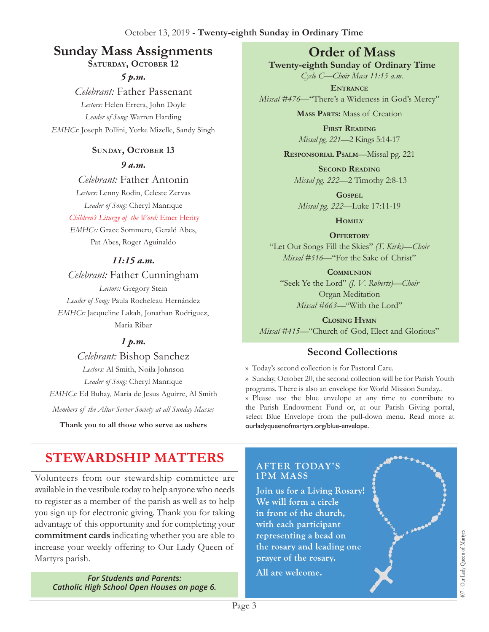# **Sunday Mass Assignments Order of Mass**

### SATURDAY, OCTOBER 12

*5 p.m.* 

*Celebrant:* Father Passenant *Lectors:* Helen Errera, John Doyle *Leader of Song:* Warren Harding *EMHCs:* Joseph Pollini, Yorke Mizelle, Sandy Singh

### SUNDAY, OCTOBER 13

*9 a.m.* 

*Celebrant:* Father Antonin *Lectors:* Lenny Rodin, Celeste Zervas *Leader of Song:* Cheryl Manrique

*Children's Liturgy of the Word:* Emer Herity *EMHCs:* Grace Sommero, Gerald Abes, Pat Abes, Roger Aguinaldo

### *11:15 a.m.*

*Celebrant:* Father Cunningham *Lectors:* Gregory Stein *Leader of Song:* Paula Rocheleau Hernández *EMHCs:* Jacqueline Lakah, Jonathan Rodriguez, Maria Ribar

### *1 p.m.*

*Celebrant:* Bishop Sanchez *Lectors:* Al Smith, Noila Johnson *Leader of Song:* Cheryl Manrique *EMHCs:* Ed Buhay, Maria de Jesus Aguirre, Al Smith

*Members of the Altar Server Society at all Sunday Masses*

**Thank you to all those who serve as ushers**

**Twenty-eighth Sunday of Ordinary Time** *Cycle C—Choir Mass 11:15 a.m.*

**Entrance** *Missal #476—*"There's a Wideness in God's Mercy"

**Mass Parts:** Mass of Creation

**First Reading** *Missal pg. 221—*2 Kings 5:14-17

**Responsorial Psalm**—Missal pg. 221

**Second Reading** *Missal pg. 222—*2 Timothy 2:8-13

**Gospel** *Missal pg. 222—*Luke 17:11-19

**Homily**

**OFFERTORY** "Let Our Songs Fill the Skies" *(T. Kirk)—Choir Missal* #516—"For the Sake of Christ"

**Communion** "Seek Ye the Lord" *(J. V. Roberts)—Choir*  Organ Meditation *Missal #663—*"With the Lord"

**Closing Hymn** *Missal #415—*"Church of God, Elect and Glorious"

## **Second Collections**

›› Today's second collection is for Pastoral Care. ›› Sunday, October 20, the second collection will be for Parish Youth programs. There is also an envelope for World Mission Sunday..

›› Please use the blue envelope at any time to contribute to the Parish Endowment Fund or, at our Parish Giving portal, select Blue Envelope from the pull-down menu. Read more at ourladyqueenofmartyrs.org/blue-envelope.

# **STEWARDSHIP MATTERS**

Volunteers from our stewardship committee are available in the vestibule today to help anyone who needs to register as a member of the parish as well as to help you sign up for electronic giving. Thank you for taking advantage of this opportunity and for completing your **commitment cards** indicating whether you are able to increase your weekly offering to Our Lady Queen of Martyrs parish.

*For Students and Parents: Catholic High School Open Houses on page 6.*

### **AFTER TODAY'S 1PM MASS**

Join us for a Living Rosary! We will form a circle in front of the church, with each participant representing a bead on the rosary and leading one prayer of the rosary.

All are welcome.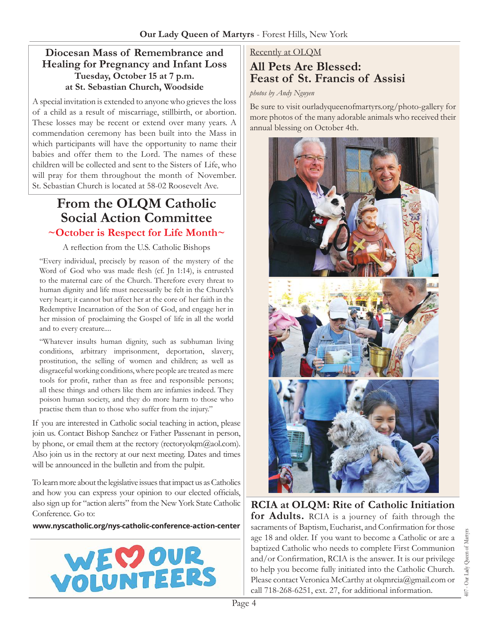### **Diocesan Mass of Remembrance and Healing for Pregnancy and Infant Loss Tuesday, October 15 at 7 p.m. at St. Sebastian Church, Woodside**

A special invitation is extended to anyone who grieves the loss of a child as a result of miscarriage, stillbirth, or abortion. These losses may be recent or extend over many years. A commendation ceremony has been built into the Mass in which participants will have the opportunity to name their babies and offer them to the Lord. The names of these children will be collected and sent to the Sisters of Life, who will pray for them throughout the month of November. St. Sebastian Church is located at 58-02 Roosevelt Ave.

# **From the OLQM Catholic Social Action Committee**

### **~October is Respect for Life Month~**

### A reflection from the U.S. Catholic Bishops

"Every individual, precisely by reason of the mystery of the Word of God who was made flesh (cf. Jn 1:14), is entrusted to the maternal care of the Church. Therefore every threat to human dignity and life must necessarily be felt in the Church's very heart; it cannot but affect her at the core of her faith in the Redemptive Incarnation of the Son of God, and engage her in her mission of proclaiming the Gospel of life in all the world and to every creature....

"Whatever insults human dignity, such as subhuman living conditions, arbitrary imprisonment, deportation, slavery, prostitution, the selling of women and children; as well as disgraceful working conditions, where people are treated as mere tools for profit, rather than as free and responsible persons; all these things and others like them are infamies indeed. They poison human society, and they do more harm to those who practise them than to those who suffer from the injury."

If you are interested in Catholic social teaching in action, please join us. Contact Bishop Sanchez or Father Passenant in person, by phone, or email them at the rectory (rectoryolom $\omega$ aol.com). Also join us in the rectory at our next meeting. Dates and times will be announced in the bulletin and from the pulpit.

To learn more about the legislative issues that impact us as Catholics and how you can express your opinion to our elected officials, also sign up for "action alerts" from the New York State Catholic Conference. Go to:

### **www.nyscatholic.org/nys-catholic-conference-action-center**



### Recently at OLQM

# **All Pets Are Blessed: Feast of St. Francis of Assisi**

#### *photos by Andy Nguyen*

Be sure to visit ourladyqueenofmartyrs.org/photo-gallery for more photos of the many adorable animals who received their annual blessing on October 4th.



**RCIA at OLQM: Rite of Catholic Initiation for Adults.** RCIA is a journey of faith through the sacraments of Baptism, Eucharist, and Confirmation for those age 18 and older. If you want to become a Catholic or are a baptized Catholic who needs to complete First Communion and/or Confirmation, RCIA is the answer. It is our privilege to help you become fully initiated into the Catholic Church. Please contact Veronica McCarthy at olgmrcia@gmail.com or call 718-268-6251, ext. 27, for additional information.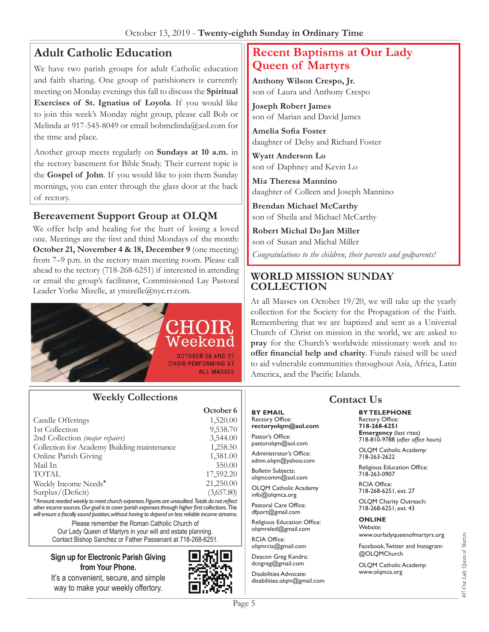# **Adult Catholic Education**

We have two parish groups for adult Catholic education and faith sharing. One group of parishioners is currently meeting on Monday evenings this fall to discuss the **Spiritual Exercises of St. Ignatius of Loyola**. If you would like to join this week's Monday night group, please call Bob or Melinda at 917-545-8049 or email bobmelinda@aol.com for the time and place.

Another group meets regularly on **Sundays at 10 a.m.** in the rectory basement for Bible Study. Their current topic is the **Gospel of John**. If you would like to join them Sunday mornings, you can enter through the glass door at the back of rectory.

### **Bereavement Support Group at OLQM**

We offer help and healing for the hurt of losing a loved one. Meetings are the first and third Mondays of the month: **October 21, November 4 & 18, December 9** (one meeting) from 7–9 p.m. in the rectory main meeting room. Please call ahead to the rectory (718-268-6251) if interested in attending or email the group's facilitator, Commissioned Lay Pastoral Leader Yorke Mizelle, at ymizelle@nyc.rr.com.



### **Weekly Collections**

|                                                                                             | October <sub>6</sub> |
|---------------------------------------------------------------------------------------------|----------------------|
| Candle Offerings                                                                            | 1,520.00             |
| 1st Collection                                                                              | 9,538.70             |
| 2nd Collection (major repairs)                                                              | 3,544.00             |
| Collection for Academy Building maintenance                                                 | 1,258.50             |
| Online Parish Giving                                                                        | 1,381.00             |
| Mail In                                                                                     | 350.00               |
| <b>TOTAL</b>                                                                                | 17,592.20            |
| Weekly Income Needs*                                                                        | 21,250.00            |
| Surplus/(Deficit)                                                                           | (3,657.80)           |
| *Amount peodod weekly to meet church expenses. Figures are unquidited Totals do not reflect |                      |

*\* Amount needed weekly to meet church expenses. Figures are unaudited. Totals do not reflect other income sources. Our goal is to cover parish expenses through higher first collections. This will ensure a fiscally sound position, without having to depend on less reliable income streams.*

Please remember the Roman Catholic Church of Our Lady Queen of Martyrs in your will and estate planning. Contact Bishop Sanchez or Father Passenant at 718-268-6251.

#### **Sign up for Electronic Parish Giving from Your Phone.**

It's a convenient, secure, and simple way to make your weekly offertory.



# **Recent Baptisms at Our Lady Queen of Martyrs**

**Anthony Wilson Crespo, Jr.** son of Laura and Anthony Crespo

**Joseph Robert James** son of Marian and David James

**Amelia Sofia Foster** daughter of Delsy and Richard Foster

**Wyatt Anderson Lo** son of Daphney and Kevin Lo

**Mia Theresa Mannino** daughter of Colleen and Joseph Mannino

**Brendan Michael McCarthy** son of Sheila and Michael McCarthy

**Robert Michal Do Jan Miller** son of Susan and Michal Miller *Congratulations to the children, their parents and godparents!*

### **WORLD MISSION SUNDAY COLLECTION**

At all Masses on October 19/20, we will take up the yearly collection for the Society for the Propagation of the Faith. Remembering that we are baptized and sent as a Universal Church of Christ on mission in the world, we are asked to **pray** for the Church's worldwide missionary work and to **offer financial help and charity**. Funds raised will be used to aid vulnerable communities throughout Asia, Africa, Latin America, and the Pacific Islands.

#### **BY EMAIL** Rectory Office:

**rectoryolqm@aol.com** Pastor's Office:

pastorolqm@aol.com Administrator's Office:

admn.olqm@yahoo.com

Bulletin Subjects: olqmcomm@aol.com

OLQM Catholic Academy info@olqmca.org

Pastoral Care Office: dfport@gmail.com

Religious Education Office: olqmreled@gmail.com

RCIA Office: olqmrcia@gmail.com

Deacon Greg Kandra: dcngreg@gmail.com

Disabilities Advocate: disabilities.olqm@gmail.com

# **Contact Us**

**BY TELEPHONE** Rectory Office: **718-268-6251 Emergency** (last rites) 718-810-9788 (*after office hours)*

OLQM Catholic Academy: 718-263-2622

Religious Education Office: 718-263-0907

RCIA Office: 718-268-6251, ext. 27

OLQM Charity Outreach: 718-268-6251, ext. 43

#### **ONLINE**

Website: www.ourladyqueenofmartyrs.org

Facebook, Twitter and Instagram: @OLQMChurch

OLQM Catholic Academy: www.olqmca.org